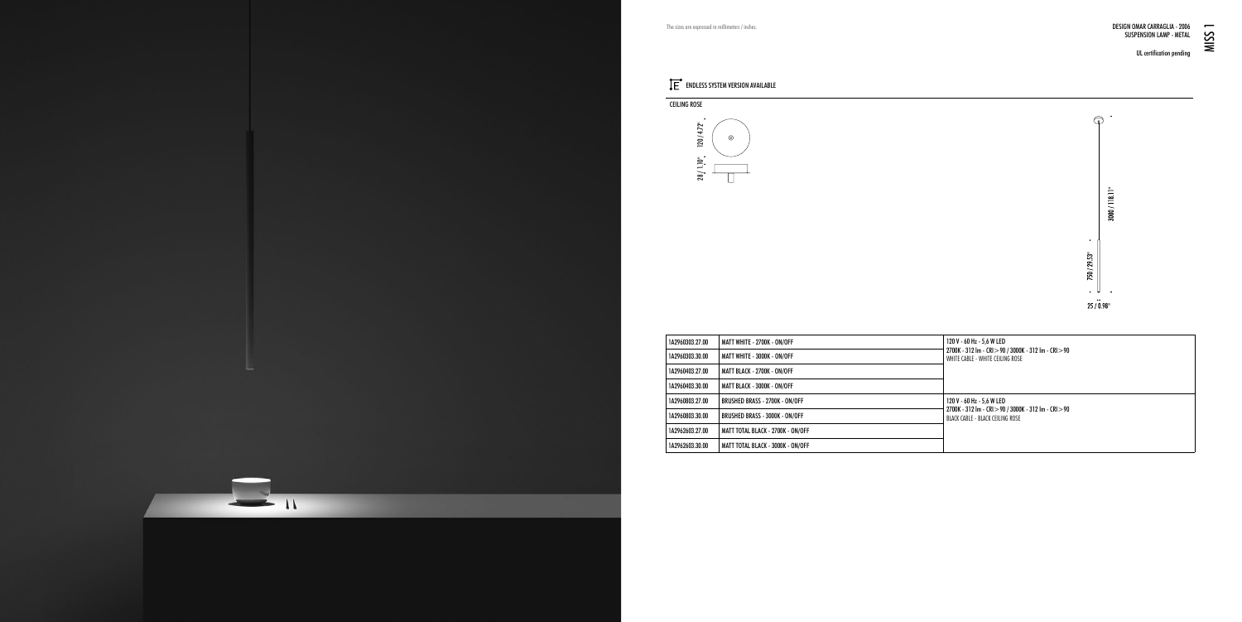UL certification pending



| 1A2960303.27.00 | MATT WHITE - 2700K - ON/OFF       | 120 V - 60 Hz - 5.6 W LED<br>2700K - 312 Im - CRI > 90 / 3000K - 312 Im - CRI > 90<br>WHITE CABLE - WHITE CEILING ROSE |
|-----------------|-----------------------------------|------------------------------------------------------------------------------------------------------------------------|
| 1A2960303.30.00 | MATT WHITE - 3000K - ON/OFF       |                                                                                                                        |
| 1A2960403.27.00 | MATT BLACK - 2700K - ON/OFF       |                                                                                                                        |
| 1A2960403.30.00 | MATT BLACK - 3000K - ON/OFF       |                                                                                                                        |
| 1A2960803.27.00 | BRUSHED BRASS - 2700K - ON/OFF    | 120 V - 60 Hz - 5.6 W LED<br>2700K - 312 Im - CRI > 90 / 3000K - 312 Im - CRI > 90<br>BLACK CABLE - BLACK CEILING ROSE |
| 1A2960803.30.00 | BRUSHED BRASS - 3000K - ON/OFF    |                                                                                                                        |
| 1A2962603.27.00 | MATT TOTAL BLACK - 2700K - ON/OFF |                                                                                                                        |
| 1A2962603.30.00 | MATT TOTAL BLACK - 3000K - ON/OFF |                                                                                                                        |



## The sizes are expressed in millimeters / inches.

## ENDLESS SYSTEM VERSION AVAILABLE

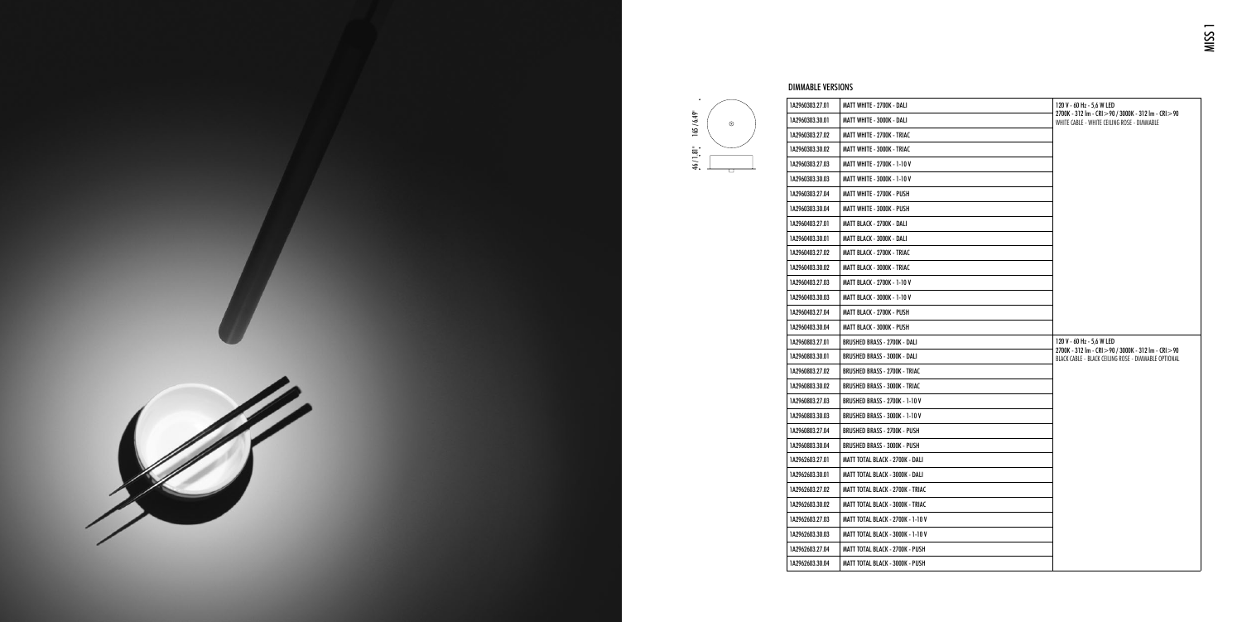| <b>DIMMABLE VERSIONS</b> |                                          |                                                                                                                                                |
|--------------------------|------------------------------------------|------------------------------------------------------------------------------------------------------------------------------------------------|
| 1A2960303.27.01          | MATT WHITE - 2700K - DALI                | 120 V - 60 Hz - 5,6 W LED<br>2700K - 312 Im - CRI > 90 / 3000K - 312 Im - CRI > 90<br>WHITE CABLE - WHITE CEILING ROSE - DIMMABLE              |
| 1A2960303.30.01          | MATT WHITE - 3000K - DALI                |                                                                                                                                                |
| 1A2960303.27.02          | MATT WHITE - 2700K - TRIAC               |                                                                                                                                                |
| 1A2960303.30.02          | MATT WHITE - 3000K - TRIAC               |                                                                                                                                                |
| 1A2960303.27.03          | MATT WHITE - 2700K - 1-10 V              |                                                                                                                                                |
| 1A2960303.30.03          | MATT WHITE - 3000K - 1-10 V              |                                                                                                                                                |
| 1A2960303.27.04          | MATT WHITE - 2700K - PUSH                |                                                                                                                                                |
| 1A2960303.30.04          | MATT WHITE - 3000K - PUSH                |                                                                                                                                                |
| 1A2960403.27.01          | MATT BLACK - 2700K - DALI                |                                                                                                                                                |
| 1A2960403.30.01          | MATT BLACK - 3000K - DALI                |                                                                                                                                                |
| 1A2960403.27.02          | MATT BLACK - 2700K - TRIAC               |                                                                                                                                                |
| 1A2960403.30.02          | MATT BLACK - 3000K - TRIAC               |                                                                                                                                                |
| 1A2960403.27.03          | MATT BLACK - 2700K - 1-10 V              |                                                                                                                                                |
| 1A2960403.30.03          | <b>MATT BLACK - 3000K - 1-10 V</b>       |                                                                                                                                                |
| 1A2960403.27.04          | MATT BLACK - 2700K - PUSH                |                                                                                                                                                |
| 1A2960403.30.04          | MATT BLACK - 3000K - PUSH                |                                                                                                                                                |
| 1A2960803.27.01          | BRUSHED BRASS - 2700K - DALI             | 120 V - 60 Hz - 5,6 W LED<br>2700K - 312 Im - CRI $>$ 90 / 3000K - 312 Im - CRI $>$ 90<br>BLACK CABLE - BLACK CEILING ROSE - DIMMABLE OPTIONAL |
| 1A2960803.30.01          | BRUSHED BRASS - 3000K - DALI             |                                                                                                                                                |
| 1A2960803.27.02          | <b>BRUSHED BRASS - 2700K - TRIAC</b>     |                                                                                                                                                |
| 1A2960803.30.02          | <b>BRUSHED BRASS - 3000K - TRIAC</b>     |                                                                                                                                                |
| 1A2960803.27.03          | BRUSHED BRASS - 2700K - 1-10 V           |                                                                                                                                                |
| 1A2960803.30.03          | <b>BRUSHED BRASS - 3000K - 1-10 V</b>    |                                                                                                                                                |
| 1A2960803.27.04          | BRUSHED BRASS - 2700K - PUSH             |                                                                                                                                                |
| 1A2960803.30.04          | BRUSHED BRASS - 3000K - PUSH             |                                                                                                                                                |
| 1A2962603.27.01          | MATT TOTAL BLACK - 2700K - DALI          |                                                                                                                                                |
| 1A2962603.30.01          | MATT TOTAL BLACK - 3000K - DALI          |                                                                                                                                                |
| 1A2962603.27.02          | MATT TOTAL BLACK - 2700K - TRIAC         |                                                                                                                                                |
| 1A2962603.30.02          | MATT TOTAL BLACK - 3000K - TRIAC         |                                                                                                                                                |
| 1A2962603.27.03          | <b>MATT TOTAL BLACK - 2700K - 1-10 V</b> |                                                                                                                                                |
| 1A2962603.30.03          | MATT TOTAL BLACK - 3000K - 1-10 V        |                                                                                                                                                |
| 1A2962603.27.04          | MATT TOTAL BLACK - 2700K - PUSH          |                                                                                                                                                |
| 1A2962603.30.04          | MATT TOTAL BLACK - 3000K - PUSH          |                                                                                                                                                |



## െ 46 / 1.81"

165 / 6.49"